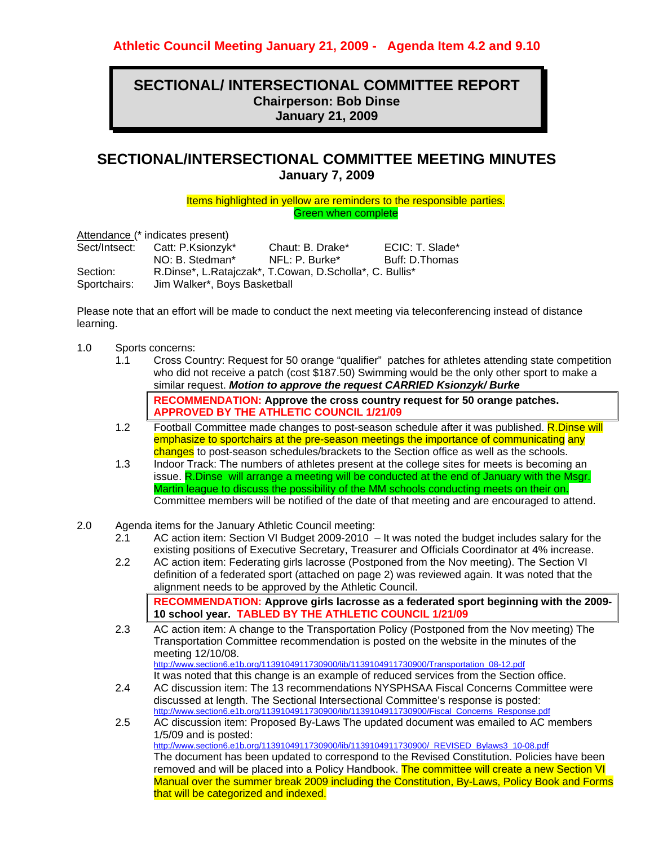## **SECTIONAL/ INTERSECTIONAL COMMITTEE REPORT Chairperson: Bob Dinse January 21, 2009**

# **SECTIONAL/INTERSECTIONAL COMMITTEE MEETING MINUTES January 7, 2009**

Items highlighted in yellow are reminders to the responsible parties. Green when complete

Attendance (\* indicates present)

| Sect/Intsect: | Catt: P.Ksionzyk*                                       | Chaut: B. Drake* | ECIC: T. Slade* |
|---------------|---------------------------------------------------------|------------------|-----------------|
|               | NO: B. Stedman*                                         | NFL: P. Burke*   | Buff: D.Thomas  |
| Section:      | R.Dinse*, L.Ratajczak*, T.Cowan, D.Scholla*, C. Bullis* |                  |                 |
| Sportchairs:  | Jim Walker*, Boys Basketball                            |                  |                 |

Please note that an effort will be made to conduct the next meeting via teleconferencing instead of distance learning.

- 1.0 Sports concerns:
	- 1.1 Cross Country: Request for 50 orange "qualifier" patches for athletes attending state competition who did not receive a patch (cost \$187.50) Swimming would be the only other sport to make a similar request. *Motion to approve the request CARRIED Ksionzyk/ Burke*  **RECOMMENDATION: Approve the cross country request for 50 orange patches. APPROVED BY THE ATHLETIC COUNCIL 1/21/09**
	- 1.2 Football Committee made changes to post-season schedule after it was published. R.Dinse will emphasize to sportchairs at the pre-season meetings the importance of communicating any changes to post-season schedules/brackets to the Section office as well as the schools.
	- 1.3 Indoor Track: The numbers of athletes present at the college sites for meets is becoming an issue. R.Dinse will arrange a meeting will be conducted at the end of January with the Msgr. Martin league to discuss the possibility of the MM schools conducting meets on their on. Committee members will be notified of the date of that meeting and are encouraged to attend.
- 2.0 Agenda items for the January Athletic Council meeting:
	- 2.1 AC action item: Section VI Budget 2009-2010 It was noted the budget includes salary for the existing positions of Executive Secretary, Treasurer and Officials Coordinator at 4% increase.
	- 2.2 AC action item: Federating girls lacrosse (Postponed from the Nov meeting). The Section VI definition of a federated sport (attached on page 2) was reviewed again. It was noted that the alignment needs to be approved by the Athletic Council. **RECOMMENDATION: Approve girls lacrosse as a federated sport beginning with the 2009-**

**10 school year. TABLED BY THE ATHLETIC COUNCIL 1/21/09** 

2.3 AC action item: A change to the Transportation Policy (Postponed from the Nov meeting) The Transportation Committee recommendation is posted on the website in the minutes of the meeting 12/10/08. http://www.section6.e1b.org/1139104911730900/lib/1139104911730900/Transportation\_08-12.pdf

It was noted that this change is an example of reduced services from the Section office.

- 2.4 AC discussion item: The 13 recommendations NYSPHSAA Fiscal Concerns Committee were discussed at length. The Sectional Intersectional Committee's response is posted: http://www.section6.e1b.org/1139104911730900/lib/1139104911730900/Fiscal\_Concerns\_Response.pdf
- 2.5 AC discussion item: Proposed By-Laws The updated document was emailed to AC members 1/5/09 and is posted: http://www.section6.e1b.org/1139104911730900/lib/1139104911730900/\_REVISED\_Bylaws3\_10-08.pdf The document has been updated to correspond to the Revised Constitution. Policies have been removed and will be placed into a Policy Handbook. The committee will create a new Section VI Manual over the summer break 2009 including the Constitution, By-Laws, Policy Book and Forms that will be categorized and indexed.